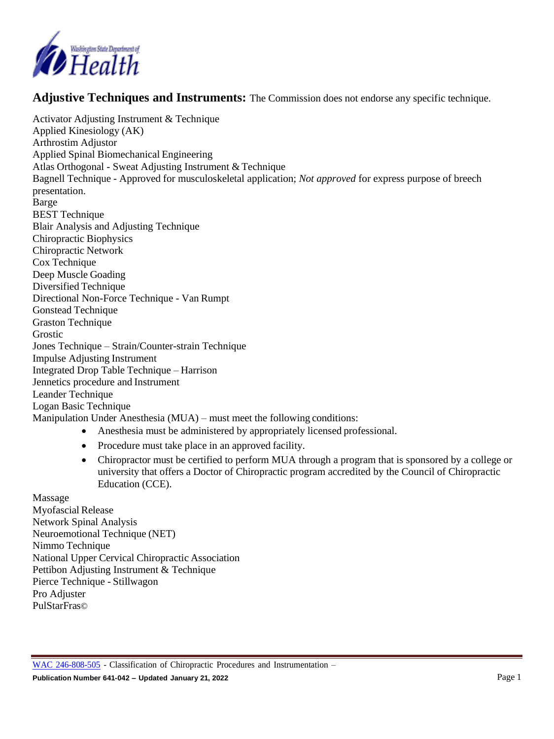

**Adjustive Techniques and Instruments:** The Commission does not endorse any specific technique.

Activator Adjusting Instrument & Technique Applied Kinesiology (AK) Arthrostim Adjustor Applied Spinal Biomechanical Engineering Atlas Orthogonal - Sweat Adjusting Instrument & Technique Bagnell Technique - Approved for musculoskeletal application; *Not approved* for express purpose of breech presentation. Barge BEST Technique Blair Analysis and Adjusting Technique Chiropractic Biophysics Chiropractic Network Cox Technique Deep Muscle Goading Diversified Technique Directional Non-Force Technique - Van Rumpt Gonstead Technique Graston Technique Grostic Jones Technique – Strain/Counter-strain Technique Impulse Adjusting Instrument Integrated Drop Table Technique – Harrison Jennetics procedure and Instrument Leander Technique Logan Basic Technique Manipulation Under Anesthesia (MUA) – must meet the following conditions:

- Anesthesia must be administered by appropriately licensed professional.
- Procedure must take place in an approved facility.
- Chiropractor must be certified to perform MUA through a program that is sponsored by a college or university that offers a Doctor of Chiropractic program accredited by the Council of Chiropractic Education (CCE).

Massage Myofascial Release Network Spinal Analysis Neuroemotional Technique (NET) Nimmo Technique National Upper Cervical Chiropractic Association Pettibon Adjusting Instrument & Technique Pierce Technique - Stillwagon Pro Adjuster PulStarFras©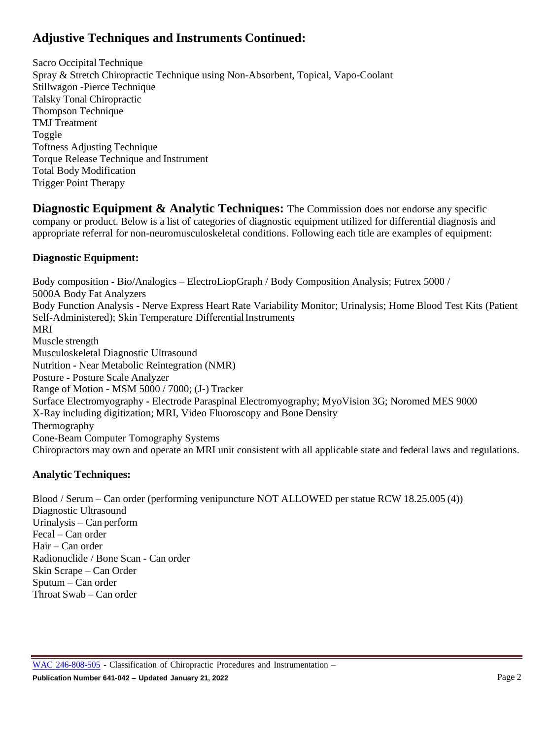## **Adjustive Techniques and Instruments Continued:**

Sacro Occipital Technique Spray & Stretch Chiropractic Technique using Non-Absorbent, Topical, Vapo-Coolant Stillwagon -Pierce Technique Talsky Tonal Chiropractic Thompson Technique TMJ Treatment Toggle Toftness Adjusting Technique Torque Release Technique and Instrument Total Body Modification Trigger Point Therapy

**Diagnostic Equipment & Analytic Techniques:** The Commission does not endorse any specific company or product. Below is a list of categories of diagnostic equipment utilized for differential diagnosis and appropriate referral for non-neuromusculoskeletal conditions. Following each title are examples of equipment:

## **Diagnostic Equipment:**

Body composition **-** Bio/Analogics – ElectroLiopGraph / Body Composition Analysis; Futrex 5000 / 5000A Body Fat Analyzers Body Function Analysis **-** Nerve Express Heart Rate Variability Monitor; Urinalysis; Home Blood Test Kits (Patient Self-Administered); Skin Temperature Differential Instruments MRI Muscle strength Musculoskeletal Diagnostic Ultrasound Nutrition **-** Near Metabolic Reintegration (NMR) Posture **-** Posture Scale Analyzer Range of Motion **-** MSM 5000 / 7000; (J-) Tracker Surface Electromyography **-** Electrode Paraspinal Electromyography; MyoVision 3G; Noromed MES 9000 X-Ray including digitization; MRI, Video Fluoroscopy and Bone Density Thermography Cone-Beam Computer Tomography Systems Chiropractors may own and operate an MRI unit consistent with all applicable state and federal laws and regulations.

## **Analytic Techniques:**

Blood / Serum – Can order (performing venipuncture NOT ALLOWED per statue RCW 18.25.005 (4)) Diagnostic Ultrasound Urinalysis – Can perform Fecal – Can order Hair – Can order Radionuclide / Bone Scan - Can order Skin Scrape – Can Order Sputum – Can order Throat Swab – Can order